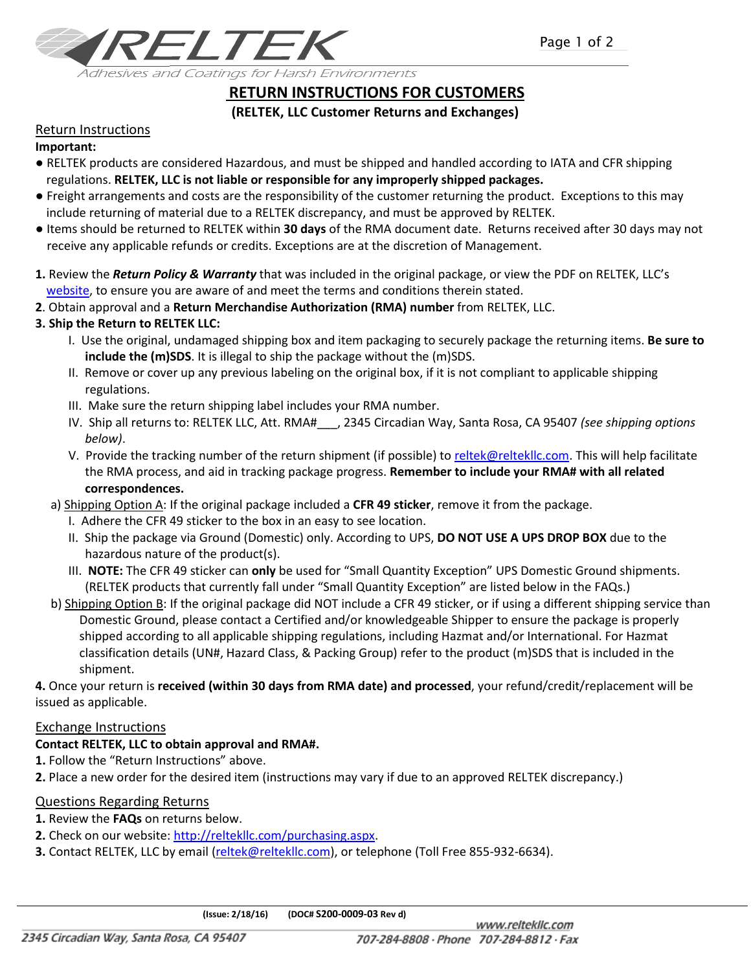

# **RETURN INSTRUCTIONS FOR CUSTOMERS**

## **(RELTEK, LLC Customer Returns and Exchanges)**

## Return Instructions

#### **Important:**

- RELTEK products are considered Hazardous, and must be shipped and handled according to IATA and CFR shipping regulations. **RELTEK, LLC is not liable or responsible for any improperly shipped packages.**
- Freight arrangements and costs are the responsibility of the customer returning the product. Exceptions to this may include returning of material due to a RELTEK discrepancy, and must be approved by RELTEK.
- Items should be returned to RELTEK within **30 days** of the RMA document date. Returns received after 30 days may not receive any applicable refunds or credits. Exceptions are at the discretion of Management.
- **1.** Review the *Return Policy & Warranty* that was included in the original package, or view the PDF on RELTEK, LLC's [website,](http://reltekllc.com/Portals/0/PDF) to ensure you are aware of and meet the terms and conditions therein stated.
- **2**. Obtain approval and a **Return Merchandise Authorization (RMA) number** from RELTEK, LLC.

## **3. Ship the Return to RELTEK LLC:**

- I. Use the original, undamaged shipping box and item packaging to securely package the returning items. **Be sure to include the (m)SDS**. It is illegal to ship the package without the (m)SDS.
- II. Remove or cover up any previous labeling on the original box, if it is not compliant to applicable shipping regulations.
- III. Make sure the return shipping label includes your RMA number.
- IV. Ship all returns to: RELTEK LLC, Att. RMA#\_\_\_, 2345 Circadian Way, Santa Rosa, CA 95407 *(see shipping options below)*.
- V. Provide the tracking number of the return shipment (if possible) to [reltek@reltekllc.com.](mailto:reltek@reltekllc.com) This will help facilitate the RMA process, and aid in tracking package progress. **Remember to include your RMA# with all related correspondences.**
- a) Shipping Option A: If the original package included a **CFR 49 sticker**, remove it from the package.
	- I. Adhere the CFR 49 sticker to the box in an easy to see location.
	- II. Ship the package via Ground (Domestic) only. According to UPS, **DO NOT USE A UPS DROP BOX** due to the hazardous nature of the product(s).
	- III. **NOTE:** The CFR 49 sticker can **only** be used for "Small Quantity Exception" UPS Domestic Ground shipments. (RELTEK products that currently fall under "Small Quantity Exception" are listed below in the FAQs.)
- b) Shipping Option B: If the original package did NOT include a CFR 49 sticker, or if using a different shipping service than Domestic Ground, please contact a Certified and/or knowledgeable Shipper to ensure the package is properly shipped according to all applicable shipping regulations, including Hazmat and/or International. For Hazmat classification details (UN#, Hazard Class, & Packing Group) refer to the product (m)SDS that is included in the shipment.

**4.** Once your return is **received (within 30 days from RMA date) and processed**, your refund/credit/replacement will be issued as applicable.

## Exchange Instructions

## **Contact RELTEK, LLC to obtain approval and RMA#.**

- **1.** Follow the "Return Instructions" above.
- **2.** Place a new order for the desired item (instructions may vary if due to an approved RELTEK discrepancy.)

## Questions Regarding Returns

- **1.** Review the **FAQs** on returns below.
- **2.** Check on our website[: http://reltekllc.com/purchasing.aspx.](http://reltekllc.com/purchasing.aspx)
- **3.** Contact RELTEK, LLC by email [\(reltek@reltekllc.com\)](mailto:reltek@reltekllc.com), or telephone (Toll Free 855-932-6634).

 **(Issue: 2/18/16) (DOC# S200-0009-03 Rev d)**

2345 Circadian Way, Santa Rosa, CA 95407

www.reltekllc.com 707-284-8808 Phone 707-284-8812 Fax